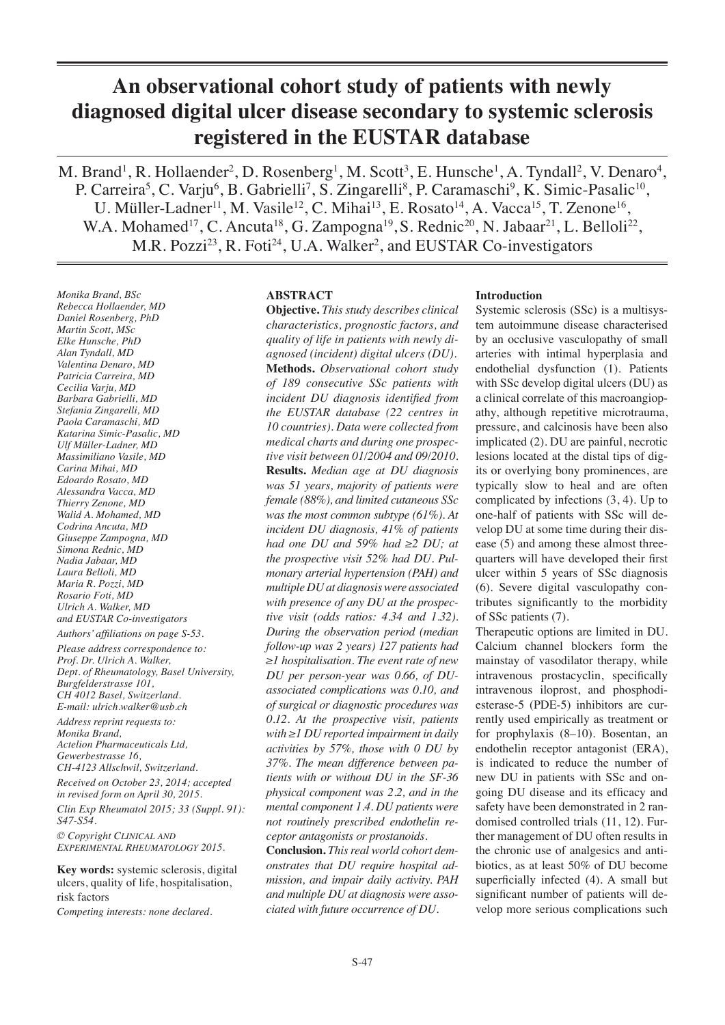# **An observational cohort study of patients with newly diagnosed digital ulcer disease secondary to systemic sclerosis registered in the EUSTAR database**

M. Brand<sup>1</sup>, R. Hollaender<sup>2</sup>, D. Rosenberg<sup>1</sup>, M. Scott<sup>3</sup>, E. Hunsche<sup>1</sup>, A. Tyndall<sup>2</sup>, V. Denaro<sup>4</sup>, P. Carreira<sup>5</sup>, C. Varju<sup>6</sup>, B. Gabrielli<sup>7</sup>, S. Zingarelli<sup>8</sup>, P. Caramaschi<sup>9</sup>, K. Simic-Pasalic<sup>10</sup>, U. Müller-Ladner<sup>11</sup>, M. Vasile<sup>12</sup>, C. Mihai<sup>13</sup>, E. Rosato<sup>14</sup>, A. Vacca<sup>15</sup>, T. Zenone<sup>16</sup>, W.A. Mohamed<sup>17</sup>, C. Ancuta<sup>18</sup>, G. Zampogna<sup>19</sup>, S. Rednic<sup>20</sup>, N. Jabaar<sup>21</sup>, L. Belloli<sup>22</sup>, M.R. Pozzi<sup>23</sup>, R. Foti<sup>24</sup>, U.A. Walker<sup>2</sup>, and EUSTAR Co-investigators

*Monika Brand, BSc Rebecca Hollaender, MD Daniel Rosenberg, PhD Martin Scott, MSc Elke Hunsche, PhD Alan Tyndall, MD Valentina Denaro, MD Patricia Carreira, MD Cecilia Varju, MD Barbara Gabrielli, MD Stefania Zingarelli, MD Paola Caramaschi, MD Katarina Simic-Pasalic, MD Ulf Müller-Ladner, MD Massimiliano Vasile, MD Carina Mihai, MD Edoardo Rosato, MD Alessandra Vacca, MD Thierry Zenone, MD Walid A. Mohamed, MD Codrina Ancuta, MD Giuseppe Zampogna, MD Simona Rednic, MD Nadia Jabaar, MD Laura Belloli, MD Maria R. Pozzi, MD Rosario Foti, MD Ulrich A. Walker, MD and EUSTAR Co-investigators*

*Authors' affiliations on page S-53. Please address correspondence to: Prof. Dr. Ulrich A. Walker, Dept. of Rheumatology, Basel University, Burgfelderstrasse 101, CH 4012 Basel, Switzerland. E-mail: ulrich.walker@usb.ch*

*Address reprint requests to: Monika Brand, Actelion Pharmaceuticals Ltd, Gewerbestrasse 16, CH-4123 Allschwil, Switzerland.*

*Received on October 23, 2014; accepted in revised form on April 30, 2015.*

*Clin Exp Rheumatol 2015; 33 (Suppl. 91): S47-S54.*

*© Copyright Clinical and Experimental Rheumatology 2015.*

**Key words:** systemic sclerosis, digital ulcers, quality of life, hospitalisation, risk factors

*Competing interests: none declared.* 

## **ABSTRACT**

**Objective.** *This study describes clinical characteristics, prognostic factors, and quality of life in patients with newly diagnosed (incident) digital ulcers (DU).*  **Methods.** *Observational cohort study of 189 consecutive SSc patients with incident DU diagnosis identified from the EUSTAR database (22 centres in 10 countries). Data were collected from medical charts and during one prospective visit between 01/2004 and 09/2010.* **Results.** *Median age at DU diagnosis was 51 years, majority of patients were female (88%), and limited cutaneous SSc was the most common subtype (61%). At incident DU diagnosis, 41% of patients had one DU and 59% had ≥2 DU; at the prospective visit 52% had DU. Pulmonary arterial hypertension (PAH) and multiple DU at diagnosis were associated with presence of any DU at the prospective visit (odds ratios: 4.34 and 1.32). During the observation period (median follow-up was 2 years) 127 patients had ≥1 hospitalisation. The event rate of new DU per person-year was 0.66, of DUassociated complications was 0.10, and of surgical or diagnostic procedures was 0.12. At the prospective visit, patients with ≥1 DU reported impairment in daily activities by 57%, those with 0 DU by 37%. The mean difference between patients with or without DU in the SF-36 physical component was 2.2, and in the mental component 1.4. DU patients were not routinely prescribed endothelin receptor antagonists or prostanoids.*

**Conclusion.** *This real world cohort demonstrates that DU require hospital admission, and impair daily activity. PAH and multiple DU at diagnosis were associated with future occurrence of DU.* 

## **Introduction**

Systemic sclerosis (SSc) is a multisystem autoimmune disease characterised by an occlusive vasculopathy of small arteries with intimal hyperplasia and endothelial dysfunction (1). Patients with SSc develop digital ulcers (DU) as a clinical correlate of this macroangiopathy, although repetitive microtrauma, pressure, and calcinosis have been also implicated (2). DU are painful, necrotic lesions located at the distal tips of digits or overlying bony prominences, are typically slow to heal and are often complicated by infections (3, 4). Up to one-half of patients with SSc will develop DU at some time during their disease (5) and among these almost threequarters will have developed their first ulcer within 5 years of SSc diagnosis (6). Severe digital vasculopathy contributes significantly to the morbidity of SSc patients (7).

Therapeutic options are limited in DU. Calcium channel blockers form the mainstay of vasodilator therapy, while intravenous prostacyclin, specifically intravenous iloprost, and phosphodiesterase-5 (PDE-5) inhibitors are currently used empirically as treatment or for prophylaxis (8–10). Bosentan, an endothelin receptor antagonist (ERA), is indicated to reduce the number of new DU in patients with SSc and ongoing DU disease and its efficacy and safety have been demonstrated in 2 randomised controlled trials (11, 12). Further management of DU often results in the chronic use of analgesics and antibiotics, as at least 50% of DU become superficially infected (4). A small but significant number of patients will develop more serious complications such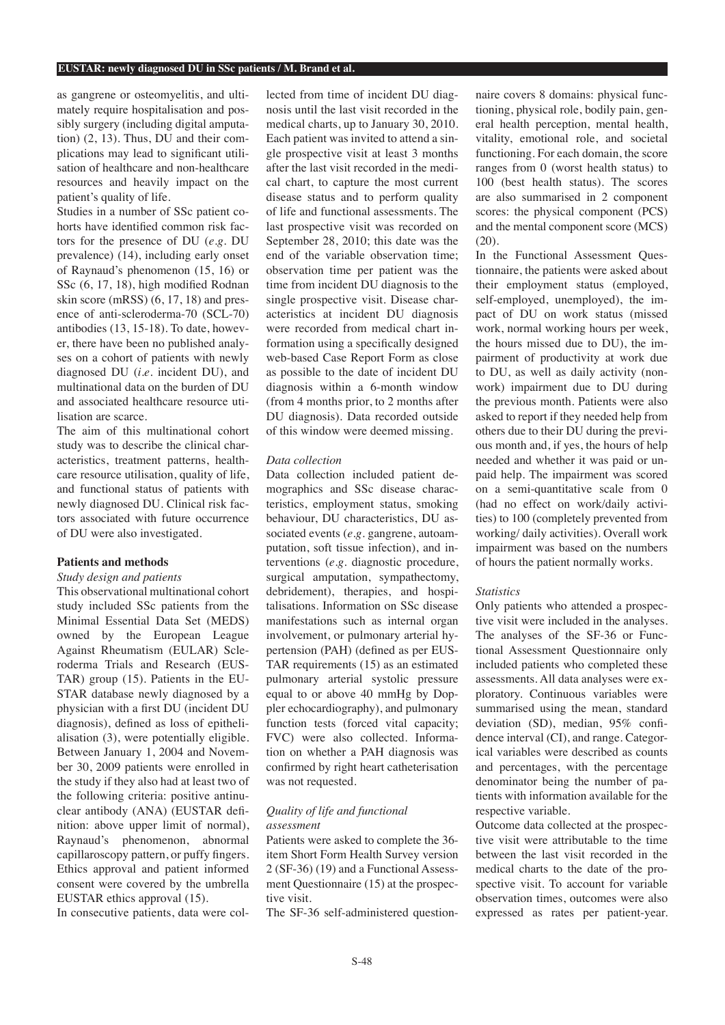as gangrene or osteomyelitis, and ultimately require hospitalisation and possibly surgery (including digital amputation) (2, 13). Thus, DU and their complications may lead to significant utilisation of healthcare and non-healthcare resources and heavily impact on the patient's quality of life.

Studies in a number of SSc patient cohorts have identified common risk factors for the presence of DU (*e.g.* DU prevalence) (14), including early onset of Raynaud's phenomenon (15, 16) or SSc (6, 17, 18), high modified Rodnan skin score (mRSS) (6, 17, 18) and presence of anti-scleroderma-70 (SCL-70) antibodies (13, 15-18). To date, however, there have been no published analyses on a cohort of patients with newly diagnosed DU (*i.e.* incident DU), and multinational data on the burden of DU and associated healthcare resource utilisation are scarce.

The aim of this multinational cohort study was to describe the clinical characteristics, treatment patterns, healthcare resource utilisation, quality of life, and functional status of patients with newly diagnosed DU. Clinical risk factors associated with future occurrence of DU were also investigated.

## **Patients and methods**

## *Study design and patients*

This observational multinational cohort study included SSc patients from the Minimal Essential Data Set (MEDS) owned by the European League Against Rheumatism (EULAR) Scleroderma Trials and Research (EUS-TAR) group (15). Patients in the EU-STAR database newly diagnosed by a physician with a first DU (incident DU diagnosis), defined as loss of epithelialisation (3), were potentially eligible. Between January 1, 2004 and November 30, 2009 patients were enrolled in the study if they also had at least two of the following criteria: positive antinuclear antibody (ANA) (EUSTAR definition: above upper limit of normal), Raynaud's phenomenon, abnormal capillaroscopy pattern, or puffy fingers. Ethics approval and patient informed consent were covered by the umbrella EUSTAR ethics approval (15).

In consecutive patients, data were col-

lected from time of incident DU diagnosis until the last visit recorded in the medical charts, up to January 30, 2010. Each patient was invited to attend a single prospective visit at least 3 months after the last visit recorded in the medical chart, to capture the most current disease status and to perform quality of life and functional assessments. The last prospective visit was recorded on September 28, 2010; this date was the end of the variable observation time; observation time per patient was the time from incident DU diagnosis to the single prospective visit. Disease characteristics at incident DU diagnosis were recorded from medical chart information using a specifically designed web-based Case Report Form as close as possible to the date of incident DU diagnosis within a 6-month window (from 4 months prior, to 2 months after DU diagnosis). Data recorded outside of this window were deemed missing.

#### *Data collection*

Data collection included patient demographics and SSc disease characteristics, employment status, smoking behaviour, DU characteristics, DU associated events (e.g. gangrene, autoamputation, soft tissue infection), and interventions (*e.g.* diagnostic procedure, surgical amputation, sympathectomy, debridement), therapies, and hospitalisations. Information on SSc disease manifestations such as internal organ involvement, or pulmonary arterial hypertension (PAH) (defined as per EUS-TAR requirements (15) as an estimated pulmonary arterial systolic pressure equal to or above 40 mmHg by Doppler echocardiography), and pulmonary function tests (forced vital capacity; FVC) were also collected. Information on whether a PAH diagnosis was confirmed by right heart catheterisation was not requested.

## *Quality of life and functional assessment*

Patients were asked to complete the 36 item Short Form Health Survey version 2 (SF-36) (19) and a Functional Assessment Questionnaire (15) at the prospective visit.

The SF-36 self-administered question-

naire covers 8 domains: physical functioning, physical role, bodily pain, general health perception, mental health, vitality, emotional role, and societal functioning. For each domain, the score ranges from 0 (worst health status) to 100 (best health status). The scores are also summarised in 2 component scores: the physical component (PCS) and the mental component score (MCS) (20).

In the Functional Assessment Questionnaire, the patients were asked about their employment status (employed, self-employed, unemployed), the impact of DU on work status (missed work, normal working hours per week, the hours missed due to DU), the impairment of productivity at work due to DU, as well as daily activity (nonwork) impairment due to DU during the previous month. Patients were also asked to report if they needed help from others due to their DU during the previous month and, if yes, the hours of help needed and whether it was paid or unpaid help. The impairment was scored on a semi-quantitative scale from 0 (had no effect on work/daily activities) to 100 (completely prevented from working/ daily activities). Overall work impairment was based on the numbers of hours the patient normally works.

#### *Statistics*

Only patients who attended a prospective visit were included in the analyses. The analyses of the SF-36 or Functional Assessment Questionnaire only included patients who completed these assessments. All data analyses were exploratory. Continuous variables were summarised using the mean, standard deviation (SD), median, 95% confidence interval (CI), and range. Categorical variables were described as counts and percentages, with the percentage denominator being the number of patients with information available for the respective variable.

Outcome data collected at the prospective visit were attributable to the time between the last visit recorded in the medical charts to the date of the prospective visit. To account for variable observation times, outcomes were also expressed as rates per patient-year.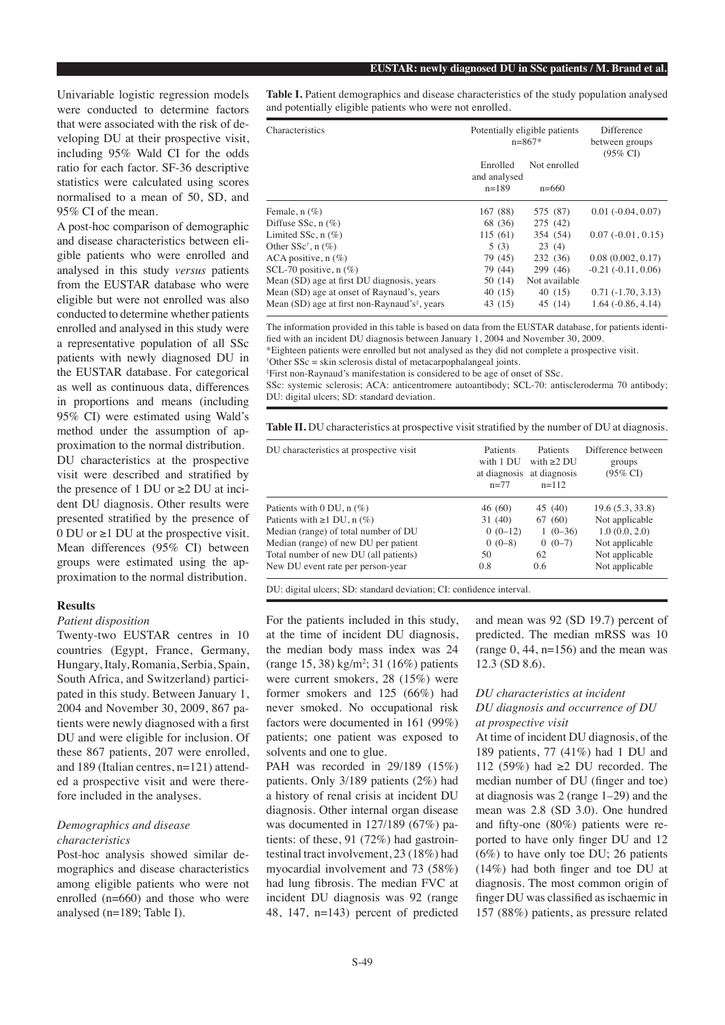Univariable logistic regression models were conducted to determine factors that were associated with the risk of developing DU at their prospective visit, including 95% Wald CI for the odds ratio for each factor. SF-36 descriptive statistics were calculated using scores normalised to a mean of 50, SD, and 95% CI of the mean.

A post-hoc comparison of demographic and disease characteristics between eligible patients who were enrolled and analysed in this study *versus* patients from the EUSTAR database who were eligible but were not enrolled was also conducted to determine whether patients enrolled and analysed in this study were a representative population of all SSc patients with newly diagnosed DU in the EUSTAR database. For categorical as well as continuous data, differences in proportions and means (including 95% CI) were estimated using Wald's method under the assumption of approximation to the normal distribution. DU characteristics at the prospective visit were described and stratified by the presence of 1 DU or  $\geq$ 2 DU at incident DU diagnosis. Other results were presented stratified by the presence of 0 DU or  $\geq$ 1 DU at the prospective visit. Mean differences (95% CI) between groups were estimated using the approximation to the normal distribution.

## **Results**

### *Patient disposition*

Twenty-two EUSTAR centres in 10 countries (Egypt, France, Germany, Hungary, Italy, Romania, Serbia, Spain, South Africa, and Switzerland) participated in this study. Between January 1, 2004 and November 30, 2009, 867 patients were newly diagnosed with a first DU and were eligible for inclusion. Of these 867 patients, 207 were enrolled, and 189 (Italian centres, n=121) attended a prospective visit and were therefore included in the analyses.

## *Demographics and disease characteristics*

Post-hoc analysis showed similar demographics and disease characteristics among eligible patients who were not enrolled (n=660) and those who were analysed (n=189; Table I).

**Table I.** Patient demographics and disease characteristics of the study population analysed and potentially eligible patients who were not enrolled.

| Characteristics                                           | Potentially eligible patients<br>$n=867*$ |               | Difference<br>between groups<br>$(95\% \text{ CI})$ |
|-----------------------------------------------------------|-------------------------------------------|---------------|-----------------------------------------------------|
|                                                           | Enrolled                                  | Not enrolled  |                                                     |
|                                                           | and analysed                              |               |                                                     |
|                                                           | $n=189$                                   | $n=660$       |                                                     |
| Female, $n$ $(\%)$                                        | 167(88)                                   | 575 (87)      | $0.01(-0.04, 0.07)$                                 |
| Diffuse $SSc, n(\%)$                                      | 68 (36)                                   | 275 (42)      |                                                     |
| Limited SSc, $n$ (%)                                      | 115(61)                                   | 354 (54)      | $0.07(-0.01, 0.15)$                                 |
| Other $SSc^{\dagger}$ , n $(\%)$                          | 5(3)                                      | 23(4)         |                                                     |
| ACA positive, $n$ (%)                                     | 79 (45)                                   | 232 (36)      | 0.08(0.002, 0.17)                                   |
| SCL-70 positive, $n$ (%)                                  | 79 (44)                                   | 299(46)       | $-0.21(-0.11, 0.06)$                                |
| Mean (SD) age at first DU diagnosis, years                | 50 (14)                                   | Not available |                                                     |
| Mean (SD) age at onset of Raynaud's, years                | 40(15)                                    | 40(15)        | $0.71(-1.70, 3.13)$                                 |
| Mean (SD) age at first non-Raynaud's <sup>‡</sup> , years | 43 (15)                                   | 45 (14)       | $1.64(-0.86, 4.14)$                                 |

The information provided in this table is based on data from the EUSTAR database, for patients identified with an incident DU diagnosis between January 1, 2004 and November 30, 2009.

\*Eighteen patients were enrolled but not analysed as they did not complete a prospective visit.

† Other SSc = skin sclerosis distal of metacarpophalangeal joints.

‡ First non-Raynaud's manifestation is considered to be age of onset of SSc.

SSc: systemic sclerosis; ACA: anticentromere autoantibody; SCL-70: antiscleroderma 70 antibody; DU: digital ulcers; SD: standard deviation.

**Table II.** DU characteristics at prospective visit stratified by the number of DU at diagnosis.

| DU characteristics at prospective visit | Patients<br>with 1 DU<br>at diagnosis<br>$n=77$ | Patients<br>with $>2$ DU<br>at diagnosis<br>$n=112$ | Difference between<br>groups<br>(95% CI) |
|-----------------------------------------|-------------------------------------------------|-----------------------------------------------------|------------------------------------------|
| Patients with $0$ DU, $n$ (%)           | 46(60)                                          | 45 (40)                                             | 19.6(5.3, 33.8)                          |
| Patients with $\geq 1$ DU, n (%)        | 31 (40)                                         | 67 (60)                                             | Not applicable                           |
| Median (range) of total number of DU    | $0(0-12)$                                       | $1(0-36)$                                           | 1.0(0.0, 2.0)                            |
| Median (range) of new DU per patient    | $0(0-8)$                                        | $0(0-7)$                                            | Not applicable                           |
| Total number of new DU (all patients)   | 50                                              | 62                                                  | Not applicable                           |
| New DU event rate per person-year       | 0.8                                             | 0.6                                                 | Not applicable                           |

DU: digital ulcers; SD: standard deviation; CI: confidence interval.

For the patients included in this study, at the time of incident DU diagnosis, the median body mass index was 24 (range 15, 38) kg/m2 ; 31 (16%) patients were current smokers, 28 (15%) were former smokers and 125 (66%) had never smoked. No occupational risk factors were documented in 161 (99%) patients; one patient was exposed to solvents and one to glue.

PAH was recorded in 29/189 (15%) patients. Only 3/189 patients (2%) had a history of renal crisis at incident DU diagnosis. Other internal organ disease was documented in 127/189 (67%) patients: of these, 91 (72%) had gastrointestinal tract involvement, 23 (18%) had myocardial involvement and 73 (58%) had lung fibrosis. The median FVC at incident DU diagnosis was 92 (range 48, 147, n=143) percent of predicted and mean was 92 (SD 19.7) percent of predicted. The median mRSS was 10 (range  $0, 44, n=156$ ) and the mean was 12.3 (SD 8.6).

## *DU characteristics at incident DU diagnosis and occurrence of DU at prospective visit*

At time of incident DU diagnosis, of the 189 patients, 77 (41%) had 1 DU and 112 (59%) had ≥2 DU recorded. The median number of DU (finger and toe) at diagnosis was 2 (range 1–29) and the mean was 2.8 (SD 3.0). One hundred and fifty-one (80%) patients were reported to have only finger DU and 12  $(6\%)$  to have only toe DU; 26 patients (14%) had both finger and toe DU at diagnosis. The most common origin of finger DU was classified as ischaemic in 157 (88%) patients, as pressure related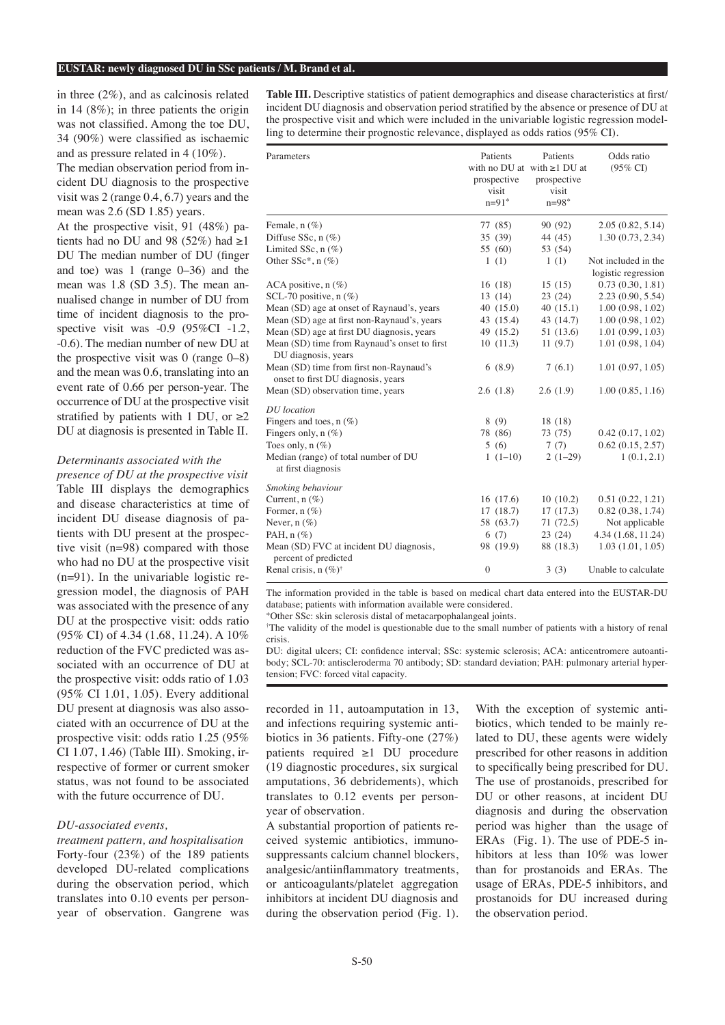in three (2%), and as calcinosis related in 14 (8%); in three patients the origin was not classified. Among the toe DU, 34 (90%) were classified as ischaemic and as pressure related in 4 (10%).

The median observation period from incident DU diagnosis to the prospective visit was 2 (range 0.4, 6.7) years and the mean was 2.6 (SD 1.85) years.

At the prospective visit, 91 (48%) patients had no DU and 98 (52%) had  $\geq$ 1 DU The median number of DU (finger and toe) was 1 (range 0–36) and the mean was 1.8 (SD 3.5). The mean annualised change in number of DU from time of incident diagnosis to the prospective visit was -0.9 (95%CI -1.2, -0.6). The median number of new DU at the prospective visit was  $0$  (range  $0-8$ ) and the mean was 0.6, translating into an event rate of 0.66 per person-year. The occurrence of DU at the prospective visit stratified by patients with 1 DU, or  $\geq 2$ DU at diagnosis is presented in Table II.

#### *Determinants associated with the*

*presence of DU at the prospective visit* Table III displays the demographics and disease characteristics at time of incident DU disease diagnosis of patients with DU present at the prospective visit (n=98) compared with those who had no DU at the prospective visit (n=91). In the univariable logistic regression model, the diagnosis of PAH was associated with the presence of any DU at the prospective visit: odds ratio (95% CI) of 4.34 (1.68, 11.24). A 10% reduction of the FVC predicted was associated with an occurrence of DU at the prospective visit: odds ratio of 1.03 (95% CI 1.01, 1.05). Every additional DU present at diagnosis was also associated with an occurrence of DU at the prospective visit: odds ratio 1.25 (95% CI 1.07, 1.46) (Table III). Smoking, irrespective of former or current smoker status, was not found to be associated with the future occurrence of DU.

#### *DU-associated events,*

*treatment pattern, and hospitalisation* Forty-four (23%) of the 189 patients developed DU-related complications during the observation period, which translates into 0.10 events per personyear of observation. Gangrene was **Table III.** Descriptive statistics of patient demographics and disease characteristics at first/ incident DU diagnosis and observation period stratified by the absence or presence of DU at the prospective visit and which were included in the univariable logistic regression modelling to determine their prognostic relevance, displayed as odds ratios (95% CI).

| Parameters                                                      | Patients     | Patients                          | Odds ratio          |
|-----------------------------------------------------------------|--------------|-----------------------------------|---------------------|
|                                                                 |              | with no DU at with $\geq 1$ DU at | $(95\% \text{ CI})$ |
|                                                                 | prospective  | prospective                       |                     |
|                                                                 | visit        | visit                             |                     |
|                                                                 | $n=91*$      | $n = 98$ *                        |                     |
| Female, $n$ $(\%)$                                              | 77 (85)      | 90 (92)                           | 2.05(0.82, 5.14)    |
| Diffuse SSc, $n$ (%)                                            | 35 (39)      | 44 (45)                           | 1.30 (0.73, 2.34)   |
| Limited SSc, $n$ (%)                                            | 55 (60)      | 53 (54)                           |                     |
| Other $SSc^*$ , n $(\%)$                                        | 1(1)         | 1(1)                              | Not included in the |
|                                                                 |              |                                   | logistic regression |
| ACA positive, $n$ (%)                                           | 16(18)       | 15(15)                            | 0.73(0.30, 1.81)    |
| SCL-70 positive, $n$ (%)                                        | 13(14)       | 23(24)                            | 2.23(0.90, 5.54)    |
| Mean (SD) age at onset of Raynaud's, years                      | 40(15.0)     | 40(15.1)                          | 1.00(0.98, 1.02)    |
| Mean (SD) age at first non-Raynaud's, years                     | 43 (15.4)    | 43 (14.7)                         | 1.00(0.98, 1.02)    |
| Mean (SD) age at first DU diagnosis, years                      | 49 (15.2)    | 51 (13.6)                         | 1.01(0.99, 1.03)    |
| Mean (SD) time from Raynaud's onset to first                    | 10(11.3)     | 11(9.7)                           | 1.01(0.98, 1.04)    |
| DU diagnosis, years                                             |              |                                   |                     |
| Mean (SD) time from first non-Raynaud's                         | 6(8.9)       | 7(6.1)                            | 1.01(0.97, 1.05)    |
| onset to first DU diagnosis, years                              |              |                                   |                     |
| Mean (SD) observation time, years                               | 2.6(1.8)     | 2.6(1.9)                          | 1.00(0.85, 1.16)    |
| <b>DU</b> location                                              |              |                                   |                     |
| Fingers and toes, $n(\%)$                                       | 8(9)         | 18 (18)                           |                     |
| Fingers only, $n$ (%)                                           | 78 (86)      | 73 (75)                           | 0.42(0.17, 1.02)    |
| Toes only, $n$ $(\%)$                                           | 5(6)         | 7(7)                              | 0.62(0.15, 2.57)    |
| Median (range) of total number of DU                            | $1(1-10)$    | $2(1-29)$                         | 1(0.1, 2.1)         |
| at first diagnosis                                              |              |                                   |                     |
| Smoking behaviour                                               |              |                                   |                     |
| Current, $n$ (%)                                                | 16(17.6)     | 10(10.2)                          | 0.51(0.22, 1.21)    |
| Former, $n$ (%)                                                 | 17(18.7)     | 17(17.3)                          | 0.82(0.38, 1.74)    |
| Never, $n$ (%)                                                  | 58 (63.7)    | 71 (72.5)                         | Not applicable      |
| PAH, $n$ $(\%)$                                                 | 6(7)         | 23(24)                            | 4.34 (1.68, 11.24)  |
| Mean (SD) FVC at incident DU diagnosis,<br>percent of predicted | 98 (19.9)    | 88 (18.3)                         | 1.03(1.01, 1.05)    |
| Renal crisis, $n (\%)^{\dagger}$                                | $\mathbf{0}$ | 3(3)                              | Unable to calculate |
|                                                                 |              |                                   |                     |

The information provided in the table is based on medical chart data entered into the EUSTAR-DU database; patients with information available were considered.

\*Other SSc: skin sclerosis distal of metacarpophalangeal joints.

† The validity of the model is questionable due to the small number of patients with a history of renal crisis.

DU: digital ulcers; CI: confidence interval; SSc: systemic sclerosis; ACA: anticentromere autoantibody; SCL-70: antiscleroderma 70 antibody; SD: standard deviation; PAH: pulmonary arterial hypertension; FVC: forced vital capacity.

recorded in 11, autoamputation in 13, and infections requiring systemic antibiotics in 36 patients. Fifty-one (27%) patients required ≥1 DU procedure (19 diagnostic procedures, six surgical amputations, 36 debridements), which translates to 0.12 events per personyear of observation.

A substantial proportion of patients received systemic antibiotics, immunosuppressants calcium channel blockers, analgesic/antiinflammatory treatments, or anticoagulants/platelet aggregation inhibitors at incident DU diagnosis and during the observation period (Fig. 1). With the exception of systemic antibiotics, which tended to be mainly related to DU, these agents were widely prescribed for other reasons in addition to specifically being prescribed for DU. The use of prostanoids, prescribed for DU or other reasons, at incident DU diagnosis and during the observation period was higher than the usage of ERAs (Fig. 1). The use of PDE-5 inhibitors at less than 10% was lower than for prostanoids and ERAs. The usage of ERAs, PDE-5 inhibitors, and prostanoids for DU increased during the observation period.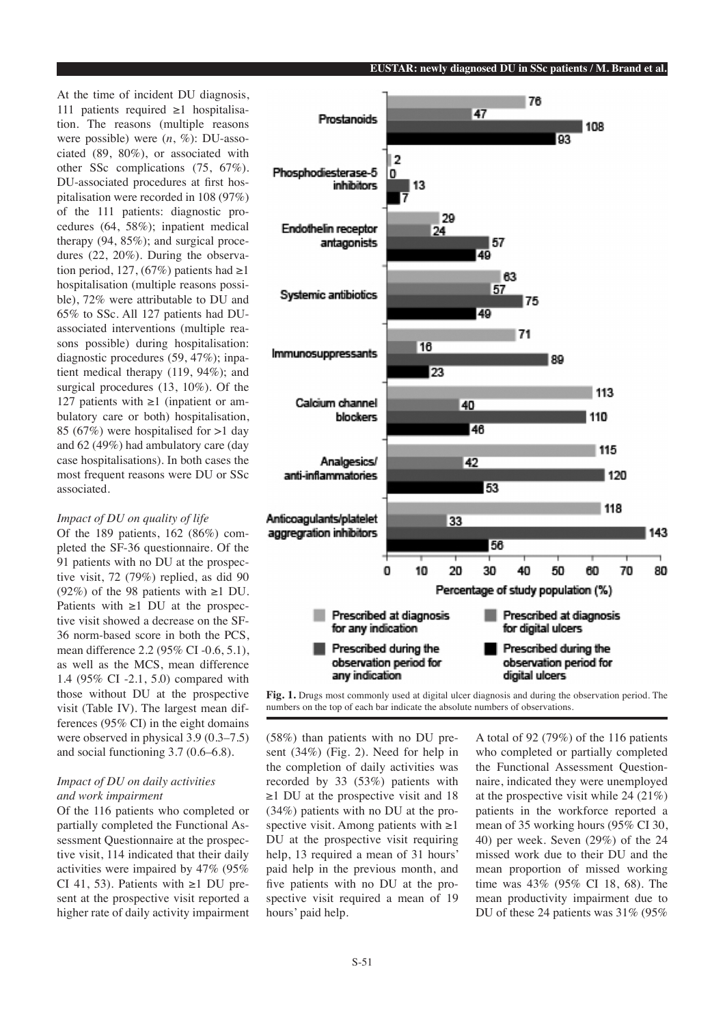At the time of incident DU diagnosis, 111 patients required ≥1 hospitalisation. The reasons (multiple reasons were possible) were (*n*, %): DU-associated (89, 80%), or associated with other SSc complications (75, 67%). DU-associated procedures at first hospitalisation were recorded in 108 (97%) of the 111 patients: diagnostic procedures (64, 58%); inpatient medical therapy (94, 85%); and surgical procedures (22, 20%). During the observation period, 127, (67%) patients had  $\geq$ 1 hospitalisation (multiple reasons possible), 72% were attributable to DU and 65% to SSc. All 127 patients had DUassociated interventions (multiple reasons possible) during hospitalisation: diagnostic procedures (59, 47%); inpatient medical therapy (119, 94%); and surgical procedures (13, 10%). Of the 127 patients with  $\geq 1$  (inpatient or ambulatory care or both) hospitalisation, 85 (67%) were hospitalised for >1 day and 62 (49%) had ambulatory care (day case hospitalisations). In both cases the most frequent reasons were DU or SSc associated.

## *Impact of DU on quality of life*

Of the 189 patients, 162 (86%) completed the SF-36 questionnaire. Of the 91 patients with no DU at the prospective visit, 72 (79%) replied, as did 90 (92%) of the 98 patients with  $\geq 1$  DU. Patients with ≥1 DU at the prospective visit showed a decrease on the SF-36 norm-based score in both the PCS, mean difference 2.2 (95% CI -0.6, 5.1), as well as the MCS, mean difference 1.4 (95% CI -2.1, 5.0) compared with those without DU at the prospective visit (Table IV). The largest mean differences (95% CI) in the eight domains were observed in physical 3.9 (0.3–7.5) and social functioning 3.7 (0.6–6.8).

## *Impact of DU on daily activities and work impairment*

Of the 116 patients who completed or partially completed the Functional Assessment Questionnaire at the prospective visit, 114 indicated that their daily activities were impaired by 47% (95% CI 41, 53). Patients with  $\geq 1$  DU present at the prospective visit reported a higher rate of daily activity impairment



**Fig. 1.** Drugs most commonly used at digital ulcer diagnosis and during the observation period. The numbers on the top of each bar indicate the absolute numbers of observations.

(58%) than patients with no DU present (34%) (Fig. 2). Need for help in the completion of daily activities was recorded by 33 (53%) patients with ≥1 DU at the prospective visit and 18 (34%) patients with no DU at the prospective visit. Among patients with  $\geq 1$ DU at the prospective visit requiring help, 13 required a mean of 31 hours' paid help in the previous month, and five patients with no DU at the prospective visit required a mean of 19 hours' paid help.

A total of 92 (79%) of the 116 patients who completed or partially completed the Functional Assessment Questionnaire, indicated they were unemployed at the prospective visit while 24 (21%) patients in the workforce reported a mean of 35 working hours (95% CI 30, 40) per week. Seven (29%) of the 24 missed work due to their DU and the mean proportion of missed working time was 43% (95% CI 18, 68). The mean productivity impairment due to DU of these 24 patients was 31% (95%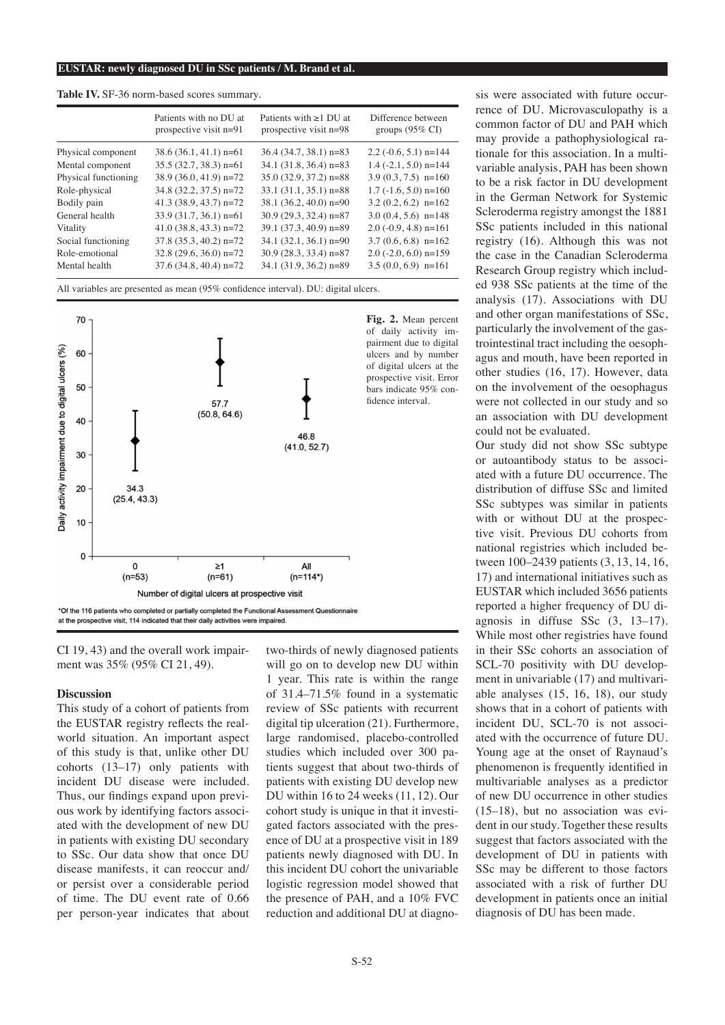|                      | Patients with no DU at<br>prospective visit $n=91$ | Patients with $\geq 1$ DU at<br>prospective visit $n=98$ | Difference between<br>groups $(95\% \text{ CI})$ |
|----------------------|----------------------------------------------------|----------------------------------------------------------|--------------------------------------------------|
| Physical component   | $38.6(36.1, 41.1)$ n=61                            | $36.4$ (34.7, 38.1) n=83                                 | $2.2$ (-0.6, 5.1) n=144                          |
| Mental component     | $35.5(32.7, 38.3)$ n=61                            | $34.1$ (31.8, 36.4) n=83                                 | $1.4$ (-2.1, 5.0) n=144                          |
| Physical functioning | $38.9(36.0, 41.9)$ n=72                            | $35.0(32.9, 37.2)$ n=88                                  | $3.9(0.3, 7.5)$ n=160                            |
| Role-physical        | 34.8 (32.2, 37.5) n=72                             | $33.1(31.1, 35.1)$ n=88                                  | $1.7$ ( $-1.6$ , 5.0) n=160                      |
| Bodily pain          | $41.3$ (38.9, 43.7) n=72                           | $38.1 (36.2, 40.0)$ n=90                                 | $3.2(0.2, 6.2)$ n=162                            |
| General health       | $33.9(31.7, 36.1)$ n=61                            | $30.9(29.3, 32.4)$ n=87                                  | $3.0(0.4, 5.6)$ n=148                            |
| Vitality             | $41.0(38.8, 43.3)$ n=72                            | 39.1 (37.3, 40.9) n=89                                   | $2.0$ (-0.9, 4.8) n=161                          |
| Social functioning   | $37.8$ $(35.3, 40.2)$ n=72                         | $34.1 (32.1, 36.1)$ n=90                                 | $3.7(0.6, 6.8)$ n=162                            |
| Role-emotional       | $32.8(29.6, 36.0)$ n=72                            | $30.9(28.3, 33.4)$ n=87                                  | $2.0$ (-2.0, 6.0) n=159                          |
| Mental health        | $37.6$ (34.8, 40.4) n=72                           | $34.1$ (31.9, 36.2) n=89                                 | $3.5(0.0, 6.9)$ n=161                            |

**Table IV.** SF-36 norm-based scores summary.

All variables are presented as mean (95% confidence interval). DU: digital ulcers.



CI 19, 43) and the overall work impairment was 35% (95% CI 21, 49).

#### **Discussion**

This study of a cohort of patients from the EUSTAR registry reflects the realworld situation. An important aspect of this study is that, unlike other DU cohorts (13–17) only patients with incident DU disease were included. Thus, our findings expand upon previous work by identifying factors associated with the development of new DU in patients with existing DU secondary to SSc. Our data show that once DU disease manifests, it can reoccur and/ or persist over a considerable period of time. The DU event rate of 0.66 per person-year indicates that about

two-thirds of newly diagnosed patients will go on to develop new DU within 1 year. This rate is within the range of 31.4–71.5% found in a systematic review of SSc patients with recurrent digital tip ulceration (21). Furthermore, large randomised, placebo-controlled studies which included over 300 patients suggest that about two-thirds of patients with existing DU develop new DU within 16 to 24 weeks (11, 12). Our cohort study is unique in that it investigated factors associated with the presence of DU at a prospective visit in 189 patients newly diagnosed with DU. In this incident DU cohort the univariable logistic regression model showed that the presence of PAH, and a 10% FVC reduction and additional DU at diagno-

sis were associated with future occurrence of DU. Microvasculopathy is a common factor of DU and PAH which may provide a pathophysiological rationale for this association. In a multivariable analysis, PAH has been shown to be a risk factor in DU development in the German Network for Systemic Scleroderma registry amongst the 1881 SSc patients included in this national registry (16). Although this was not the case in the Canadian Scleroderma Research Group registry which included 938 SSc patients at the time of the analysis (17). Associations with DU and other organ manifestations of SSc, particularly the involvement of the gastrointestinal tract including the oesophagus and mouth, have been reported in other studies (16, 17). However, data on the involvement of the oesophagus were not collected in our study and so an association with DU development could not be evaluated.

Our study did not show SSc subtype or autoantibody status to be associated with a future DU occurrence. The distribution of diffuse SSc and limited SSc subtypes was similar in patients with or without DU at the prospective visit. Previous DU cohorts from national registries which included between 100–2439 patients (3, 13, 14, 16, 17) and international initiatives such as EUSTAR which included 3656 patients reported a higher frequency of DU diagnosis in diffuse SSc (3, 13–17). While most other registries have found in their SSc cohorts an association of SCL-70 positivity with DU development in univariable (17) and multivariable analyses (15, 16, 18), our study shows that in a cohort of patients with incident DU, SCL-70 is not associated with the occurrence of future DU. Young age at the onset of Raynaud's phenomenon is frequently identified in multivariable analyses as a predictor of new DU occurrence in other studies (15–18), but no association was evident in our study. Together these results suggest that factors associated with the development of DU in patients with SSc may be different to those factors associated with a risk of further DU development in patients once an initial diagnosis of DU has been made.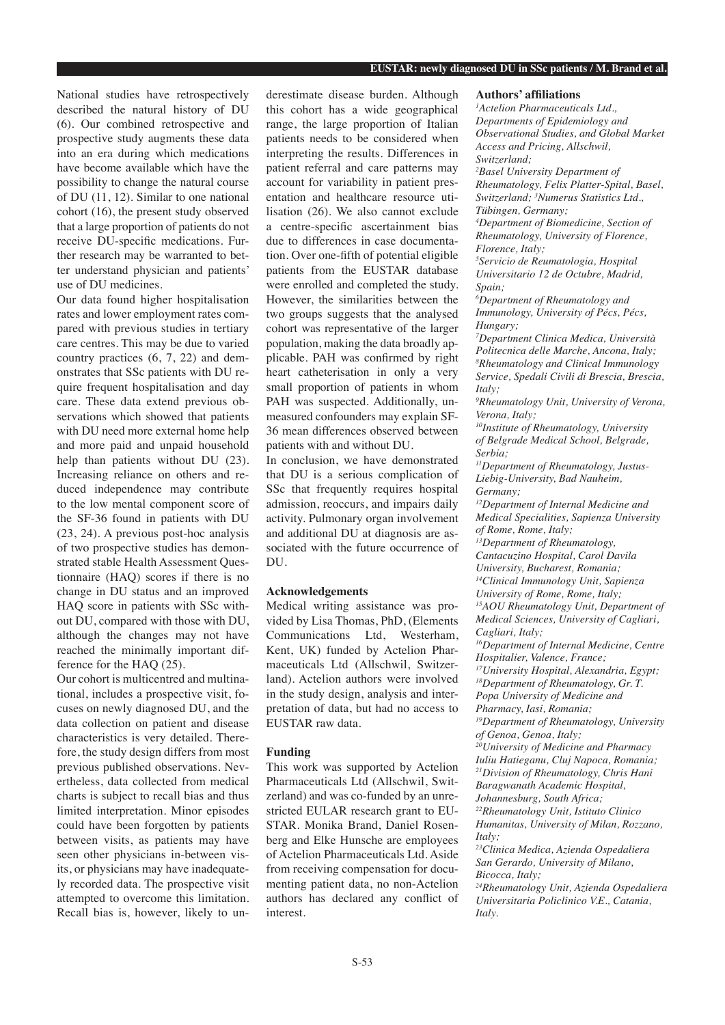National studies have retrospectively described the natural history of DU (6). Our combined retrospective and prospective study augments these data into an era during which medications have become available which have the possibility to change the natural course of DU (11, 12). Similar to one national cohort (16), the present study observed that a large proportion of patients do not receive DU-specific medications. Further research may be warranted to better understand physician and patients' use of DU medicines.

Our data found higher hospitalisation rates and lower employment rates compared with previous studies in tertiary care centres. This may be due to varied country practices (6, 7, 22) and demonstrates that SSc patients with DU require frequent hospitalisation and day care. These data extend previous observations which showed that patients with DU need more external home help and more paid and unpaid household help than patients without DU (23). Increasing reliance on others and reduced independence may contribute to the low mental component score of the SF-36 found in patients with DU (23, 24). A previous post-hoc analysis of two prospective studies has demonstrated stable Health Assessment Questionnaire (HAQ) scores if there is no change in DU status and an improved HAQ score in patients with SSc without DU, compared with those with DU, although the changes may not have reached the minimally important difference for the HAQ (25).

Our cohort is multicentred and multinational, includes a prospective visit, focuses on newly diagnosed DU, and the data collection on patient and disease characteristics is very detailed. Therefore, the study design differs from most previous published observations. Nevertheless, data collected from medical charts is subject to recall bias and thus limited interpretation. Minor episodes could have been forgotten by patients between visits, as patients may have seen other physicians in-between visits, or physicians may have inadequately recorded data. The prospective visit attempted to overcome this limitation. Recall bias is, however, likely to underestimate disease burden. Although this cohort has a wide geographical range, the large proportion of Italian patients needs to be considered when interpreting the results. Differences in patient referral and care patterns may account for variability in patient presentation and healthcare resource utilisation (26). We also cannot exclude a centre-specific ascertainment bias due to differences in case documentation. Over one-fifth of potential eligible patients from the EUSTAR database were enrolled and completed the study. However, the similarities between the two groups suggests that the analysed cohort was representative of the larger population, making the data broadly applicable. PAH was confirmed by right heart catheterisation in only a very small proportion of patients in whom PAH was suspected. Additionally, unmeasured confounders may explain SF-36 mean differences observed between patients with and without DU.

In conclusion, we have demonstrated that DU is a serious complication of SSc that frequently requires hospital admission, reoccurs, and impairs daily activity. Pulmonary organ involvement and additional DU at diagnosis are associated with the future occurrence of DU.

# **Acknowledgements**

Medical writing assistance was provided by Lisa Thomas, PhD, (Elements Communications Ltd, Westerham, Kent, UK) funded by Actelion Pharmaceuticals Ltd (Allschwil, Switzerland). Actelion authors were involved in the study design, analysis and interpretation of data, but had no access to EUSTAR raw data.

## **Funding**

This work was supported by Actelion Pharmaceuticals Ltd (Allschwil, Switzerland) and was co-funded by an unrestricted EULAR research grant to EU-STAR. Monika Brand, Daniel Rosenberg and Elke Hunsche are employees of Actelion Pharmaceuticals Ltd. Aside from receiving compensation for documenting patient data, no non-Actelion authors has declared any conflict of interest.

#### **Authors' affiliations**

*1 Actelion Pharmaceuticals Ltd., Departments of Epidemiology and Observational Studies, and Global Market Access and Pricing, Allschwil, Switzerland; 2 Basel University Department of Rheumatology, Felix Platter-Spital, Basel, Switzerland; 3 Numerus Statistics Ltd., Tübingen, Germany; 4 Department of Biomedicine, Section of Rheumatology, University of Florence, Florence, Italy; 5 Servicio de Reumatologia, Hospital Universitario 12 de Octubre, Madrid, Spain; 6 Department of Rheumatology and Immunology, University of Pécs, Pécs, Hungary; 7 Department Clinica Medica, Università Politecnica delle Marche, Ancona, Italy; 8 Rheumatology and Clinical Immunology Service, Spedali Civili di Brescia, Brescia, Italy; 9 Rheumatology Unit, University of Verona, Verona, Italy; 10Institute of Rheumatology, University of Belgrade Medical School, Belgrade, Serbia; 11Department of Rheumatology, Justus-Liebig-University, Bad Nauheim, Germany; 12Department of Internal Medicine and Medical Specialities, Sapienza University of Rome, Rome, Italy; <sup>13</sup>Department of Rheumatology, Cantacuzino Hospital, Carol Davila University, Bucharest, Romania; 14Clinical Immunology Unit, Sapienza University of Rome, Rome, Italy; <sup>15</sup>AOU Rheumatology Unit, Department of Medical Sciences, University of Cagliari, Cagliari, Italy; 16Department of Internal Medicine, Centre Hospitalier, Valence, France; <sup>17</sup>University Hospital, Alexandria, Egypt; 18Department of Rheumatology, Gr. T. Popa University of Medicine and Pharmacy, Iasi, Romania;* 

*<sup>19</sup>Department of Rheumatology, University of Genoa, Genoa, Italy;* 

*20University of Medicine and Pharmacy Iuliu Hatieganu, Cluj Napoca, Romania;* 

*21Division of Rheumatology, Chris Hani* 

- *Baragwanath Academic Hospital,*
- *Johannesburg, South Africa;*

*22Rheumatology Unit, Istituto Clinico Humanitas, University of Milan, Rozzano, Italy;* 

*<sup>23</sup>Clinica Medica, Azienda Ospedaliera San Gerardo, University of Milano, Bicocca, Italy;* 

*24Rheumatology Unit, Azienda Ospedaliera Universitaria Policlinico V.E., Catania, Italy.*